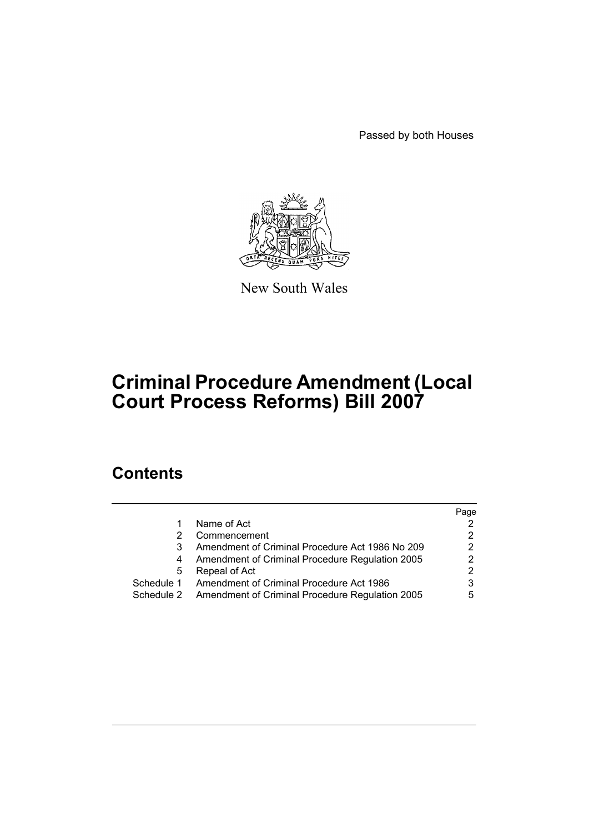Passed by both Houses



New South Wales

# **Criminal Procedure Amendment (Local Court Process Reforms) Bill 2007**

## **Contents**

|            |                                                 | Page                  |
|------------|-------------------------------------------------|-----------------------|
|            | Name of Act                                     | 2                     |
|            | Commencement                                    | $\mathbf{2}^{\prime}$ |
|            | Amendment of Criminal Procedure Act 1986 No 209 | $\overline{2}$        |
| 4          | Amendment of Criminal Procedure Regulation 2005 | 2                     |
| 5          | Repeal of Act                                   | 2                     |
| Schedule 1 | Amendment of Criminal Procedure Act 1986        | 3                     |
| Schedule 2 | Amendment of Criminal Procedure Regulation 2005 | 5                     |
|            |                                                 |                       |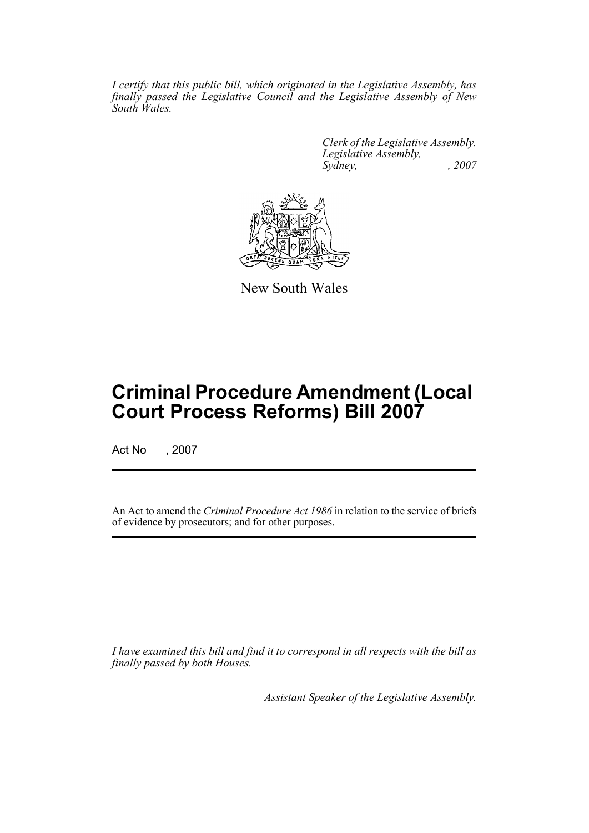*I certify that this public bill, which originated in the Legislative Assembly, has finally passed the Legislative Council and the Legislative Assembly of New South Wales.*

> *Clerk of the Legislative Assembly. Legislative Assembly, Sydney, , 2007*



New South Wales

## **Criminal Procedure Amendment (Local Court Process Reforms) Bill 2007**

Act No , 2007

An Act to amend the *Criminal Procedure Act 1986* in relation to the service of briefs of evidence by prosecutors; and for other purposes.

*I have examined this bill and find it to correspond in all respects with the bill as finally passed by both Houses.*

*Assistant Speaker of the Legislative Assembly.*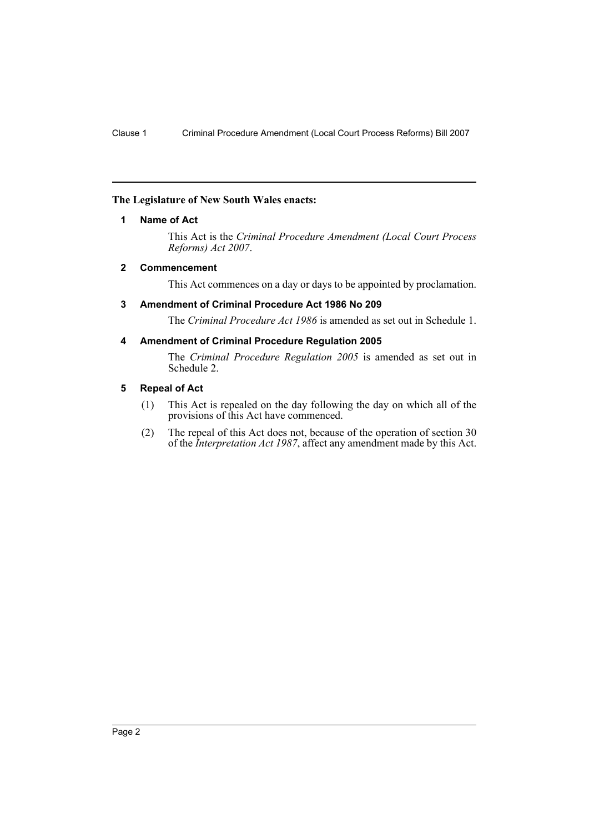#### <span id="page-2-0"></span>**The Legislature of New South Wales enacts:**

#### **1 Name of Act**

This Act is the *Criminal Procedure Amendment (Local Court Process Reforms) Act 2007*.

#### <span id="page-2-1"></span>**2 Commencement**

This Act commences on a day or days to be appointed by proclamation.

#### <span id="page-2-2"></span>**3 Amendment of Criminal Procedure Act 1986 No 209**

The *Criminal Procedure Act 1986* is amended as set out in Schedule 1.

#### <span id="page-2-3"></span>**4 Amendment of Criminal Procedure Regulation 2005**

The *Criminal Procedure Regulation 2005* is amended as set out in Schedule 2.

#### <span id="page-2-4"></span>**5 Repeal of Act**

- (1) This Act is repealed on the day following the day on which all of the provisions of this Act have commenced.
- (2) The repeal of this Act does not, because of the operation of section 30 of the *Interpretation Act 1987*, affect any amendment made by this Act.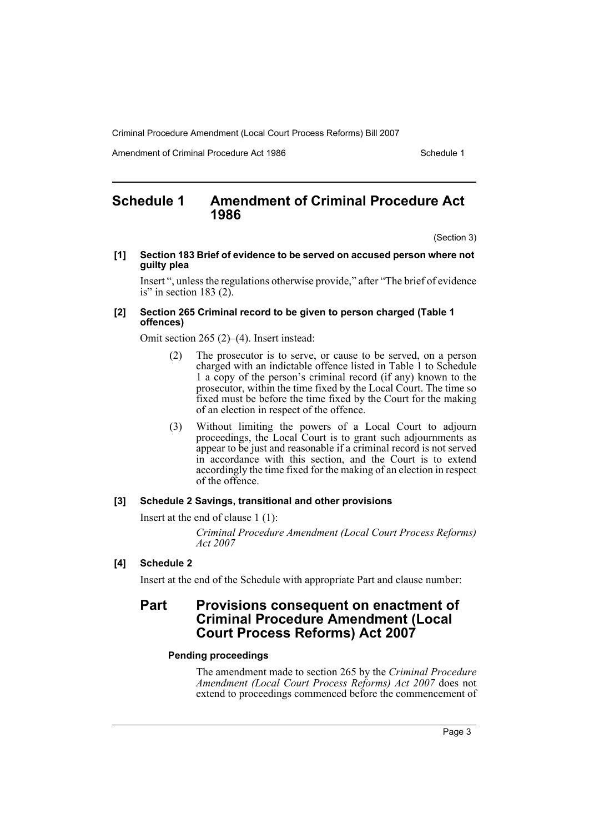Criminal Procedure Amendment (Local Court Process Reforms) Bill 2007

Amendment of Criminal Procedure Act 1986 Schedule 1

### <span id="page-3-0"></span>**Schedule 1 Amendment of Criminal Procedure Act 1986**

(Section 3)

#### **[1] Section 183 Brief of evidence to be served on accused person where not guilty plea**

Insert ", unless the regulations otherwise provide," after "The brief of evidence is" in section  $183(2)$ .

#### **[2] Section 265 Criminal record to be given to person charged (Table 1 offences)**

Omit section 265 (2)–(4). Insert instead:

- (2) The prosecutor is to serve, or cause to be served, on a person charged with an indictable offence listed in Table 1 to Schedule 1 a copy of the person's criminal record (if any) known to the prosecutor, within the time fixed by the Local Court. The time so fixed must be before the time fixed by the Court for the making of an election in respect of the offence.
- (3) Without limiting the powers of a Local Court to adjourn proceedings, the Local Court is to grant such adjournments as appear to be just and reasonable if a criminal record is not served in accordance with this section, and the Court is to extend accordingly the time fixed for the making of an election in respect of the offence.

#### **[3] Schedule 2 Savings, transitional and other provisions**

Insert at the end of clause 1 (1):

*Criminal Procedure Amendment (Local Court Process Reforms) Act 2007*

#### **[4] Schedule 2**

Insert at the end of the Schedule with appropriate Part and clause number:

### **Part Provisions consequent on enactment of Criminal Procedure Amendment (Local Court Process Reforms) Act 2007**

#### **Pending proceedings**

The amendment made to section 265 by the *Criminal Procedure Amendment (Local Court Process Reforms) Act 2007* does not extend to proceedings commenced before the commencement of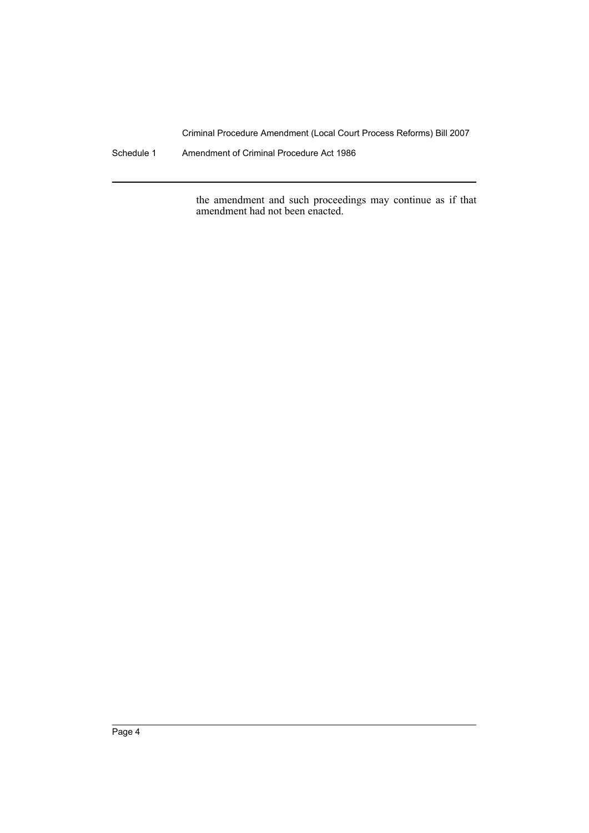Criminal Procedure Amendment (Local Court Process Reforms) Bill 2007

Schedule 1 Amendment of Criminal Procedure Act 1986

the amendment and such proceedings may continue as if that amendment had not been enacted.